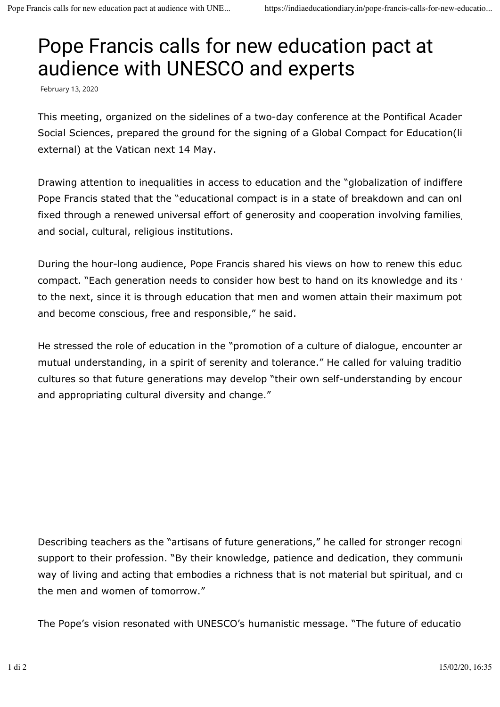## Pope Francis calls for new education pact at audience with UNESCO and experts

February 13, 2020

This meeting, organized on the sidelines of a two-day conference at the Pontifical Acaden Social Sciences, prepared the ground for the signing of a Global Compact for Education(li external) at the Vatican next 14 May.

Drawing attention to inequalities in access to education and the "globalization of indiffere Pope Francis stated that the "educational compact is in a state of breakdown and can onl fixed through a renewed universal effort of generosity and cooperation involving families, and social, cultural, religious institutions.

During the hour-long audience, Pope Francis shared his views on how to renew this education compact. "Each generation needs to consider how best to hand on its knowledge and its values to the next, since it is through education that men and women attain their maximum pot and become conscious, free and responsible," he said.

He stressed the role of education in the "promotion of a culture of dialogue, encounter ar mutual understanding, in a spirit of serenity and tolerance." He called for valuing traditio cultures so that future generations may develop "their own self-understanding by encour and appropriating cultural diversity and change."

Describing teachers as the "artisans of future generations," he called for stronger recogni support to their profession. "By their knowledge, patience and dedication, they communic way of living and acting that embodies a richness that is not material but spiritual, and creates the men and women of tomorrow."

The Pope's vision resonated with UNESCO's humanistic message. "The future of education